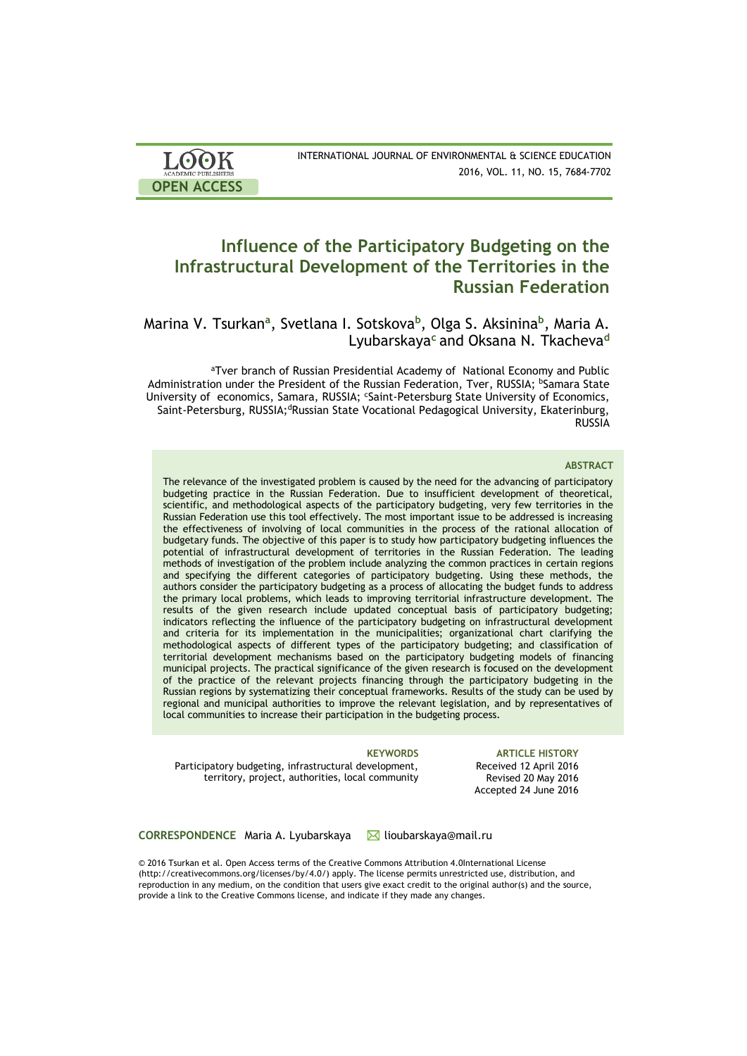| <b>LOOK</b>                | INTERNATIONAL JOURNAL OF ENVIRONMENTAL & SCIENCE EDUCATION |
|----------------------------|------------------------------------------------------------|
| <b>ACADEMIC PUBLISHERS</b> | 2016, VOL. 11, NO. 15, 7684-7702                           |
| <b>OPEN ACCESS</b>         |                                                            |

# **Influence of the Participatory Budgeting on the Infrastructural Development of the Territories in the Russian Federation**

Marina V. Tsurkan**<sup>a</sup>** , Svetlana I. Sotskova**<sup>b</sup>** , Olga S. Aksinina**<sup>b</sup>** , Maria A. Lyubarskaya**<sup>c</sup>** and Oksana N. Tkacheva**<sup>d</sup>**

aTver branch of Russian Presidential Academy of National Economy and Public Administration under the President of the Russian Federation, Tver, RUSSIA; <sup>b</sup>Samara State University of economics, Samara, RUSSIA; cSaint-Petersburg State University of Economics, Saint-Petersburg, RUSSIA;<sup>d</sup>Russian State Vocational Pedagogical University, Ekaterinburg, **RUSSIA** 

#### **ABSTRACT**

The relevance of the investigated problem is caused by the need for the advancing of participatory budgeting practice in the Russian Federation. Due to insufficient development of theoretical, scientific, and methodological aspects of the participatory budgeting, very few territories in the Russian Federation use this tool effectively. The most important issue to be addressed is increasing the effectiveness of involving of local communities in the process of the rational allocation of budgetary funds. The objective of this paper is to study how participatory budgeting influences the potential of infrastructural development of territories in the Russian Federation. The leading methods of investigation of the problem include analyzing the common practices in certain regions and specifying the different categories of participatory budgeting. Using these methods, the authors consider the participatory budgeting as a process of allocating the budget funds to address the primary local problems, which leads to improving territorial infrastructure development. The results of the given research include updated conceptual basis of participatory budgeting; indicators reflecting the influence of the participatory budgeting on infrastructural development and criteria for its implementation in the municipalities; organizational chart clarifying the methodological aspects of different types of the participatory budgeting; and classification of territorial development mechanisms based on the participatory budgeting models of financing municipal projects. The practical significance of the given research is focused on the development of the practice of the relevant projects financing through the participatory budgeting in the Russian regions by systematizing their conceptual frameworks. Results of the study can be used by regional and municipal authorities to improve the relevant legislation, and by representatives of local communities to increase their participation in the budgeting process.

Participatory budgeting, infrastructural development, territory, project, authorities, local community

**KEYWORDS ARTICLE HISTORY** Received 12 April 2016 Revised 20 May 2016 Accepted 24 June 2016

**CORRESPONDENCE** Maria A. Lyubarskaya lioubarskaya@mail.ru

© 2016 Tsurkan et al. Open Access terms of the Creative Commons Attribution 4.0International License (http://creativecommons.org/licenses/by/4.0/) apply. The license permits unrestricted use, distribution, and reproduction in any medium, on the condition that users give exact credit to the original author(s) and the source, provide a link to the Creative Commons license, and indicate if they made any changes.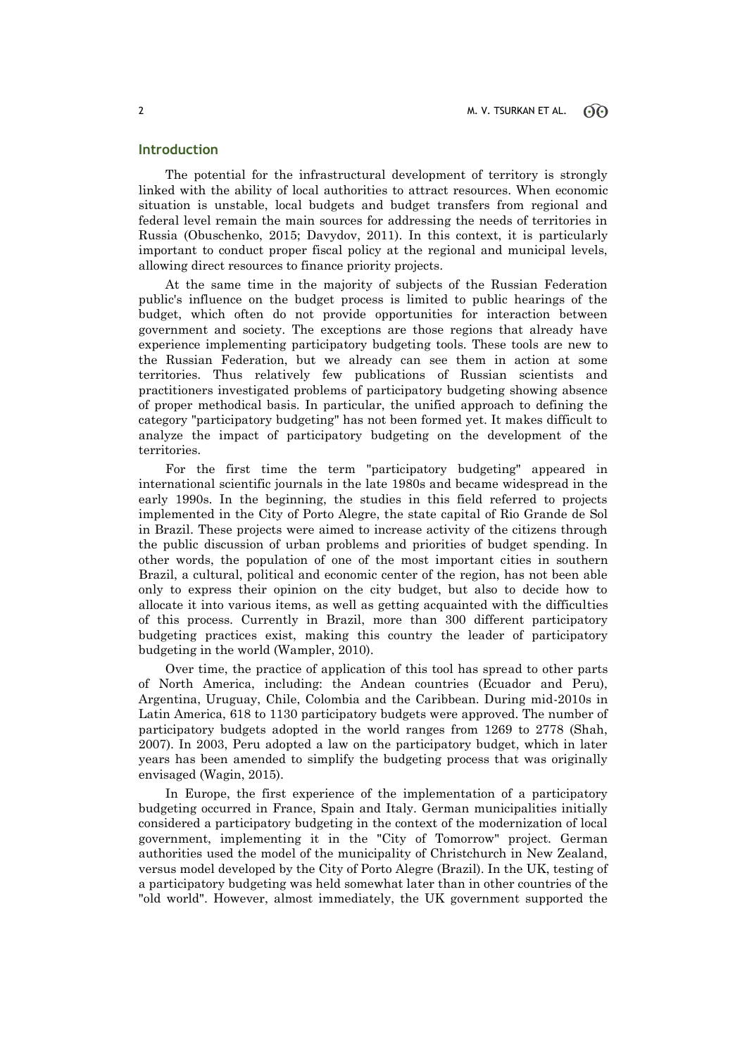### **Introduction**

The potential for the infrastructural development of territory is strongly linked with the ability of local authorities to attract resources. When economic situation is unstable, local budgets and budget transfers from regional and federal level remain the main sources for addressing the needs of territories in Russia (Obuschenko, 2015; Davydov, 2011). In this context, it is particularly important to conduct proper fiscal policy at the regional and municipal levels, allowing direct resources to finance priority projects.

At the same time in the majority of subjects of the Russian Federation public's influence on the budget process is limited to public hearings of the budget, which often do not provide opportunities for interaction between government and society. The exceptions are those regions that already have experience implementing participatory budgeting tools. These tools are new to the Russian Federation, but we already can see them in action at some territories. Thus relatively few publications of Russian scientists and practitioners investigated problems of participatory budgeting showing absence of proper methodical basis. In particular, the unified approach to defining the category "participatory budgeting" has not been formed yet. It makes difficult to analyze the impact of participatory budgeting on the development of the territories.

For the first time the term "participatory budgeting" appeared in international scientific journals in the late 1980s and became widespread in the early 1990s. In the beginning, the studies in this field referred to projects implemented in the City of Porto Alegre, the state capital of Rio Grande de Sol in Brazil. These projects were aimed to increase activity of the citizens through the public discussion of urban problems and priorities of budget spending. In other words, the population of one of the most important cities in southern Brazil, a cultural, political and economic center of the region, has not been able only to express their opinion on the city budget, but also to decide how to allocate it into various items, as well as getting acquainted with the difficulties of this process. Currently in Brazil, more than 300 different participatory budgeting practices exist, making this country the leader of participatory budgeting in the world (Wampler, 2010).

Over time, the practice of application of this tool has spread to other parts of North America, including: the Andean countries (Ecuador and Peru), Argentina, Uruguay, Chile, Colombia and the Caribbean. During mid-2010s in Latin America, 618 to 1130 participatory budgets were approved. The number of participatory budgets adopted in the world ranges from 1269 to 2778 (Shah, 2007). In 2003, Peru adopted a law on the participatory budget, which in later years has been amended to simplify the budgeting process that was originally envisaged (Wagin, 2015).

In Europe, the first experience of the implementation of a participatory budgeting occurred in France, Spain and Italy. German municipalities initially considered a participatory budgeting in the context of the modernization of local government, implementing it in the "City of Tomorrow" project. German authorities used the model of the municipality of Christchurch in New Zealand, versus model developed by the City of Porto Alegre (Brazil). In the UK, testing of a participatory budgeting was held somewhat later than in other countries of the "old world". However, almost immediately, the UK government supported the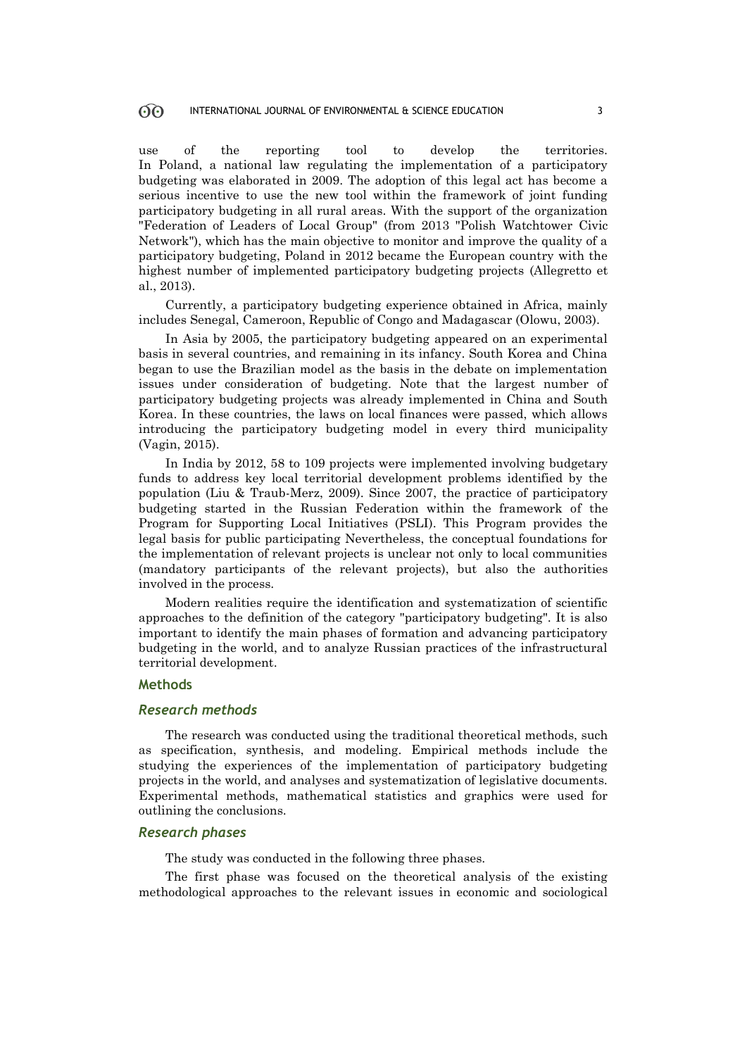use of the reporting tool to develop the territories. In Poland, a national law regulating the implementation of a participatory budgeting was elaborated in 2009. The adoption of this legal act has become a serious incentive to use the new tool within the framework of joint funding participatory budgeting in all rural areas. With the support of the organization "Federation of Leaders of Local Group" (from 2013 "Polish Watchtower Civic Network"), which has the main objective to monitor and improve the quality of a participatory budgeting, Poland in 2012 became the European country with the highest number of implemented participatory budgeting projects (Allegretto et al., 2013).

Currently, a participatory budgeting experience obtained in Africa, mainly includes Senegal, Cameroon, Republic of Congo and Madagascar (Olowu, 2003).

In Asia by 2005, the participatory budgeting appeared on an experimental basis in several countries, and remaining in its infancy. South Korea and China began to use the Brazilian model as the basis in the debate on implementation issues under consideration of budgeting. Note that the largest number of participatory budgeting projects was already implemented in China and South Korea. In these countries, the laws on local finances were passed, which allows introducing the participatory budgeting model in every third municipality (Vagin, 2015).

In India by 2012, 58 to 109 projects were implemented involving budgetary funds to address key local territorial development problems identified by the population (Liu & Traub-Merz, 2009). Since 2007, the practice of participatory budgeting started in the Russian Federation within the framework of the Program for Supporting Local Initiatives (PSLI). This Program provides the legal basis for public participating Nevertheless, the conceptual foundations for the implementation of relevant projects is unclear not only to local communities (mandatory participants of the relevant projects), but also the authorities involved in the process.

Modern realities require the identification and systematization of scientific approaches to the definition of the category "participatory budgeting". It is also important to identify the main phases of formation and advancing participatory budgeting in the world, and to analyze Russian practices of the infrastructural territorial development.

### **Methods**

#### *Research methods*

The research was conducted using the traditional theoretical methods, such as specification, synthesis, and modeling. Empirical methods include the studying the experiences of the implementation of participatory budgeting projects in the world, and analyses and systematization of legislative documents. Experimental methods, mathematical statistics and graphics were used for outlining the conclusions.

### *Research phases*

The study was conducted in the following three phases.

The first phase was focused on the theoretical analysis of the existing methodological approaches to the relevant issues in economic and sociological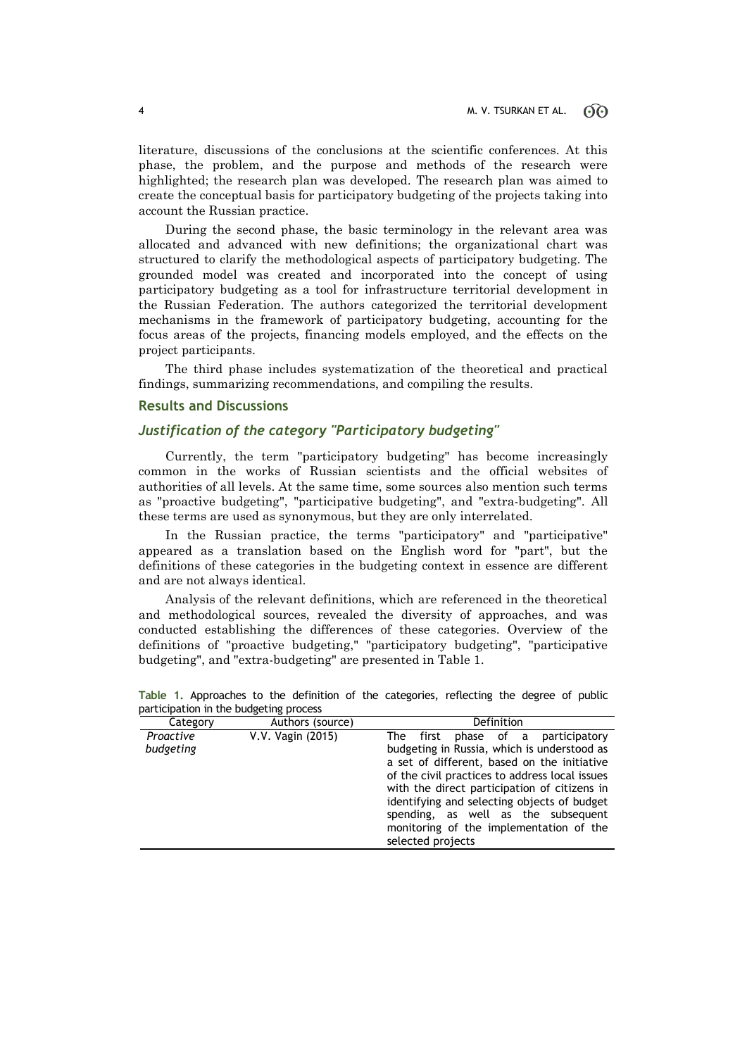literature, discussions of the conclusions at the scientific conferences. At this phase, the problem, and the purpose and methods of the research were highlighted; the research plan was developed. The research plan was aimed to create the conceptual basis for participatory budgeting of the projects taking into account the Russian practice.

During the second phase, the basic terminology in the relevant area was allocated and advanced with new definitions; the organizational chart was structured to clarify the methodological aspects of participatory budgeting. The grounded model was created and incorporated into the concept of using participatory budgeting as a tool for infrastructure territorial development in the Russian Federation. The authors categorized the territorial development mechanisms in the framework of participatory budgeting, accounting for the focus areas of the projects, financing models employed, and the effects on the project participants.

The third phase includes systematization of the theoretical and practical findings, summarizing recommendations, and compiling the results.

### **Results and Discussions**

### *Justification of the category "Participatory budgeting"*

Currently, the term "participatory budgeting" has become increasingly common in the works of Russian scientists and the official websites of authorities of all levels. At the same time, some sources also mention such terms as "proactive budgeting", "participative budgeting", and "extra-budgeting". All these terms are used as synonymous, but they are only interrelated.

In the Russian practice, the terms "participatory" and "participative" appeared as a translation based on the English word for "part", but the definitions of these categories in the budgeting context in essence are different and are not always identical.

Analysis of the relevant definitions, which are referenced in the theoretical and methodological sources, revealed the diversity of approaches, and was conducted establishing the differences of these categories. Overview of the definitions of "proactive budgeting," "participatory budgeting", "participative budgeting", and "extra-budgeting" are presented in Table 1.

| Category               | Authors (source)  | Definition                                                                                                                                                                                                                                                                                                                                                                                  |  |
|------------------------|-------------------|---------------------------------------------------------------------------------------------------------------------------------------------------------------------------------------------------------------------------------------------------------------------------------------------------------------------------------------------------------------------------------------------|--|
| Proactive<br>budgeting | V.V. Vagin (2015) | phase of a participatory<br>The first<br>budgeting in Russia, which is understood as<br>a set of different, based on the initiative<br>of the civil practices to address local issues<br>with the direct participation of citizens in<br>identifying and selecting objects of budget<br>spending, as well as the subsequent<br>monitoring of the implementation of the<br>selected projects |  |

**Table 1.** Approaches to the definition of the categories, reflecting the degree of public participation in the budgeting process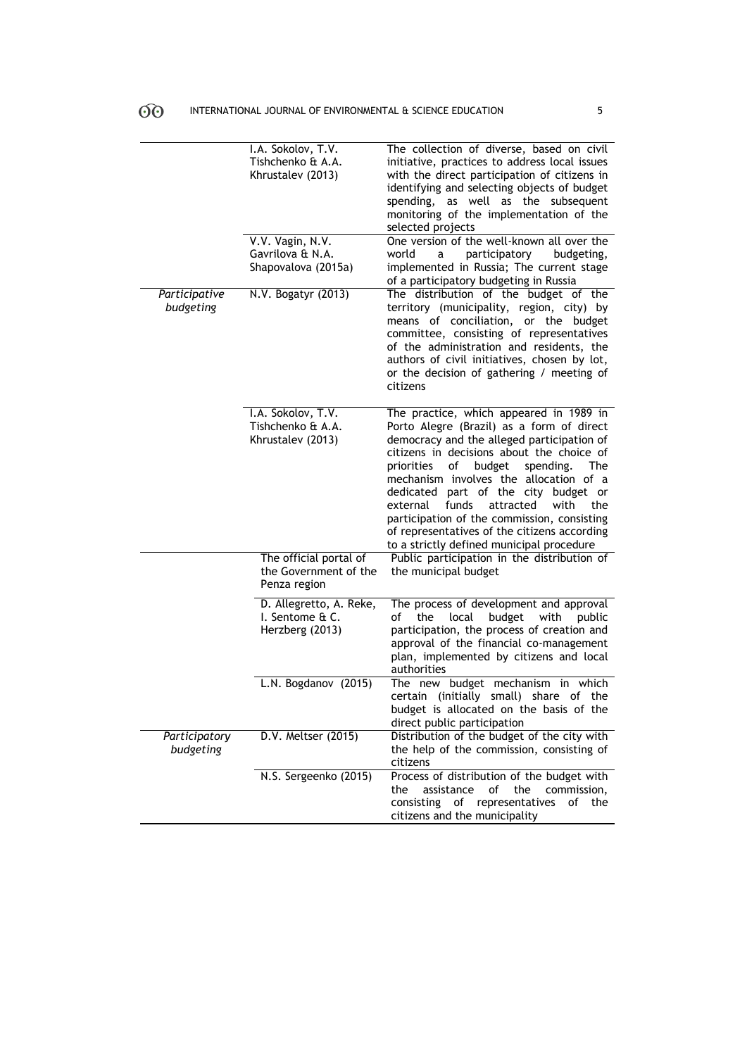|                            | I.A. Sokolov, T.V.<br>Tishchenko & A.A.                         | The collection of diverse, based on civil<br>initiative, practices to address local issues                                                                                                                                                                                                                                                                                                                                                                                                                       |
|----------------------------|-----------------------------------------------------------------|------------------------------------------------------------------------------------------------------------------------------------------------------------------------------------------------------------------------------------------------------------------------------------------------------------------------------------------------------------------------------------------------------------------------------------------------------------------------------------------------------------------|
|                            | Khrustalev (2013)                                               | with the direct participation of citizens in<br>identifying and selecting objects of budget<br>spending, as well as the subsequent<br>monitoring of the implementation of the<br>selected projects                                                                                                                                                                                                                                                                                                               |
|                            | V.V. Vagin, N.V.<br>Gavrilova & N.A.<br>Shapovalova (2015a)     | One version of the well-known all over the<br>participatory<br>budgeting,<br>world<br>a<br>implemented in Russia; The current stage<br>of a participatory budgeting in Russia                                                                                                                                                                                                                                                                                                                                    |
| Participative<br>budgeting | N.V. Bogatyr (2013)                                             | The distribution of the budget of the<br>territory (municipality, region, city) by<br>means of conciliation, or the budget<br>committee, consisting of representatives<br>of the administration and residents, the<br>authors of civil initiatives, chosen by lot,<br>or the decision of gathering / meeting of<br>citizens                                                                                                                                                                                      |
|                            | I.A. Sokolov, T.V.<br>Tishchenko & A.A.<br>Khrustalev (2013)    | The practice, which appeared in 1989 in<br>Porto Alegre (Brazil) as a form of direct<br>democracy and the alleged participation of<br>citizens in decisions about the choice of<br>priorities<br>of<br>budget<br>spending.<br>The<br>mechanism involves the allocation of a<br>dedicated part of the city budget or<br>external<br>funds<br>attracted<br>with<br>the<br>participation of the commission, consisting<br>of representatives of the citizens according<br>to a strictly defined municipal procedure |
|                            | The official portal of<br>the Government of the<br>Penza region | Public participation in the distribution of<br>the municipal budget                                                                                                                                                                                                                                                                                                                                                                                                                                              |
|                            | D. Allegretto, A. Reke,<br>I. Sentome & C.<br>Herzberg (2013)   | The process of development and approval<br>of<br>the<br>local<br>budget<br>with<br>public<br>participation, the process of creation and<br>approval of the financial co-management<br>plan, implemented by citizens and local<br>authorities                                                                                                                                                                                                                                                                     |
|                            | L.N. Bogdanov (2015)                                            | The new budget mechanism in which<br>certain (initially small) share of the<br>budget is allocated on the basis of the<br>direct public participation                                                                                                                                                                                                                                                                                                                                                            |
| Participatory<br>budgeting | D.V. Meltser (2015)                                             | Distribution of the budget of the city with<br>the help of the commission, consisting of<br>citizens                                                                                                                                                                                                                                                                                                                                                                                                             |
|                            | N.S. Sergeenko (2015)                                           | Process of distribution of the budget with<br>the<br>assistance<br>of<br>the<br>commission,<br>representatives<br>consisting<br>of<br>of<br>the<br>citizens and the municipality                                                                                                                                                                                                                                                                                                                                 |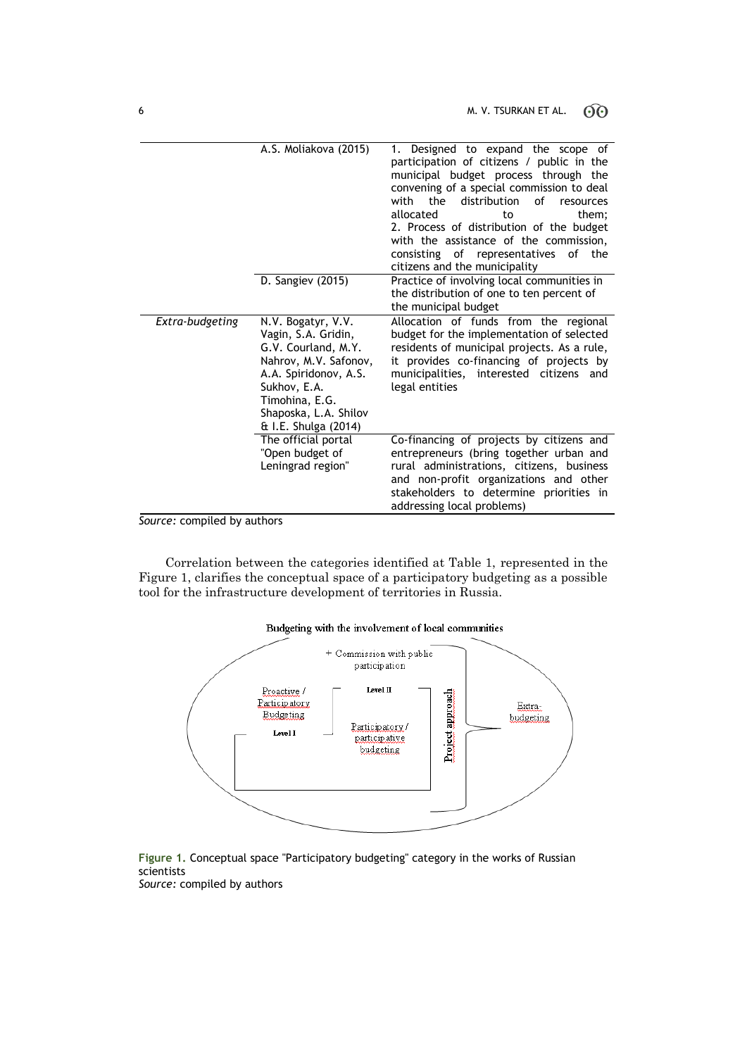|                 | A.S. Moliakova (2015)                                                                                                                                                                                 | 1. Designed to expand the scope of<br>participation of citizens / public in the<br>municipal budget process through the<br>convening of a special commission to deal<br>the<br>distribution<br>Ωf<br>with<br>resources<br>allocated<br>them:<br>to<br>2. Process of distribution of the budget<br>with the assistance of the commission,<br>consisting of representatives<br>οf<br>the<br>citizens and the municipality |
|-----------------|-------------------------------------------------------------------------------------------------------------------------------------------------------------------------------------------------------|-------------------------------------------------------------------------------------------------------------------------------------------------------------------------------------------------------------------------------------------------------------------------------------------------------------------------------------------------------------------------------------------------------------------------|
|                 | D. Sangiev (2015)                                                                                                                                                                                     | Practice of involving local communities in<br>the distribution of one to ten percent of<br>the municipal budget                                                                                                                                                                                                                                                                                                         |
| Extra-budgeting | N.V. Bogatyr, V.V.<br>Vagin, S.A. Gridin,<br>G.V. Courland, M.Y.<br>Nahrov, M.V. Safonov,<br>A.A. Spiridonov, A.S.<br>Sukhov, E.A.<br>Timohina, E.G.<br>Shaposka, L.A. Shilov<br>& I.E. Shulga (2014) | Allocation of funds from the regional<br>budget for the implementation of selected<br>residents of municipal projects. As a rule,<br>it provides co-financing of projects by<br>municipalities, interested citizens and<br>legal entities                                                                                                                                                                               |
|                 | The official portal<br>"Open budget of<br>Leningrad region"                                                                                                                                           | Co-financing of projects by citizens and<br>entrepreneurs (bring together urban and<br>rural administrations, citizens, business<br>and non-profit organizations and other<br>stakeholders to determine priorities in<br>addressing local problems)                                                                                                                                                                     |

*Source:* compiled by authors

Correlation between the categories identified at Table 1, represented in the Figure 1, clarifies the conceptual space of a participatory budgeting as a possible tool for the infrastructure development of territories in Russia.



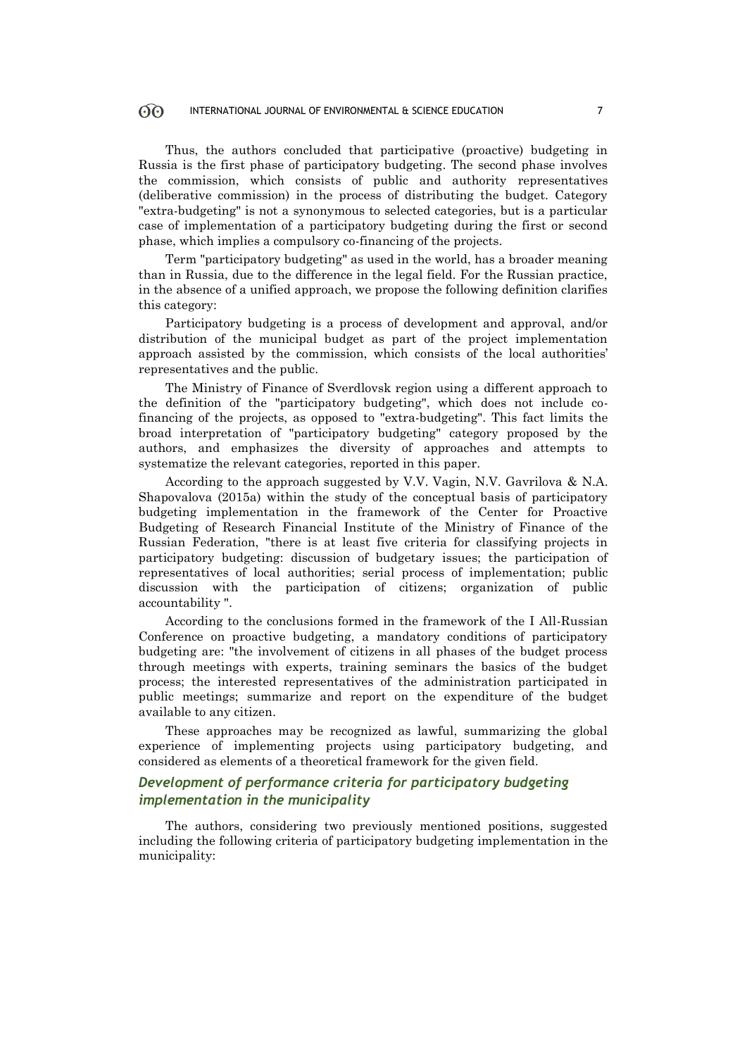### $\widehat{O}\widehat{O}$  INTERNATIONAL JOURNAL OF ENVIRONMENTAL & SCIENCE EDUCATION 7

Thus, the authors concluded that participative (proactive) budgeting in Russia is the first phase of participatory budgeting. The second phase involves the commission, which consists of public and authority representatives (deliberative commission) in the process of distributing the budget. Category "extra-budgeting" is not a synonymous to selected categories, but is a particular case of implementation of a participatory budgeting during the first or second phase, which implies a compulsory co-financing of the projects.

Term "participatory budgeting" as used in the world, has a broader meaning than in Russia, due to the difference in the legal field. For the Russian practice, in the absence of a unified approach, we propose the following definition clarifies this category:

Participatory budgeting is a process of development and approval, and/or distribution of the municipal budget as part of the project implementation approach assisted by the commission, which consists of the local authorities' representatives and the public.

The Ministry of Finance of Sverdlovsk region using a different approach to the definition of the "participatory budgeting", which does not include cofinancing of the projects, as opposed to "extra-budgeting". This fact limits the broad interpretation of "participatory budgeting" category proposed by the authors, and emphasizes the diversity of approaches and attempts to systematize the relevant categories, reported in this paper.

According to the approach suggested by V.V. Vagin, N.V. Gavrilova & N.A. Shapovalova (2015a) within the study of the conceptual basis of participatory budgeting implementation in the framework of the Center for Proactive Budgeting of Research Financial Institute of the Ministry of Finance of the Russian Federation, "there is at least five criteria for classifying projects in participatory budgeting: discussion of budgetary issues; the participation of representatives of local authorities; serial process of implementation; public discussion with the participation of citizens; organization of public accountability ".

According to the conclusions formed in the framework of the I All-Russian Conference on proactive budgeting, a mandatory conditions of participatory budgeting are: "the involvement of citizens in all phases of the budget process through meetings with experts, training seminars the basics of the budget process; the interested representatives of the administration participated in public meetings; summarize and report on the expenditure of the budget available to any citizen.

These approaches may be recognized as lawful, summarizing the global experience of implementing projects using participatory budgeting, and considered as elements of a theoretical framework for the given field.

### *Development of performance criteria for participatory budgeting implementation in the municipality*

The authors, considering two previously mentioned positions, suggested including the following criteria of participatory budgeting implementation in the municipality: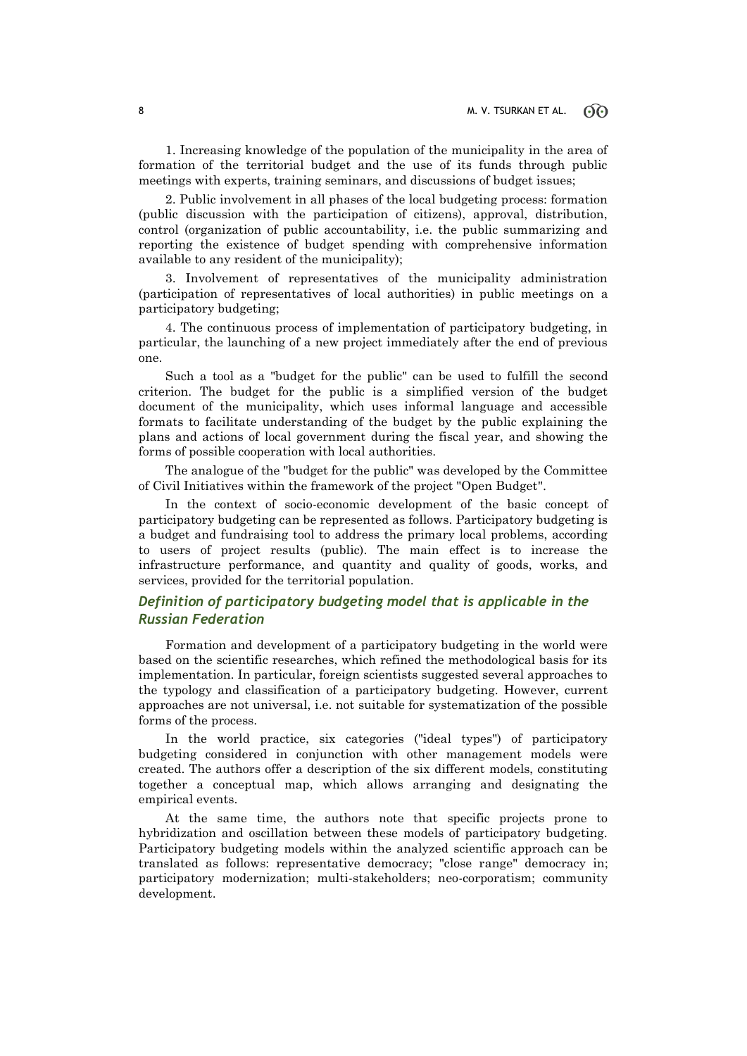1. Increasing knowledge of the population of the municipality in the area of formation of the territorial budget and the use of its funds through public meetings with experts, training seminars, and discussions of budget issues;

2. Public involvement in all phases of the local budgeting process: formation (public discussion with the participation of citizens), approval, distribution, control (organization of public accountability, i.e. the public summarizing and reporting the existence of budget spending with comprehensive information available to any resident of the municipality);

3. Involvement of representatives of the municipality administration (participation of representatives of local authorities) in public meetings on a participatory budgeting;

4. The continuous process of implementation of participatory budgeting, in particular, the launching of a new project immediately after the end of previous one.

Such a tool as a "budget for the public" can be used to fulfill the second criterion. The budget for the public is a simplified version of the budget document of the municipality, which uses informal language and accessible formats to facilitate understanding of the budget by the public explaining the plans and actions of local government during the fiscal year, and showing the forms of possible cooperation with local authorities.

The analogue of the "budget for the public" was developed by the Committee of Civil Initiatives within the framework of the project "Open Budget".

In the context of socio-economic development of the basic concept of participatory budgeting can be represented as follows. Participatory budgeting is a budget and fundraising tool to address the primary local problems, according to users of project results (public). The main effect is to increase the infrastructure performance, and quantity and quality of goods, works, and services, provided for the territorial population.

### *Definition of participatory budgeting model that is applicable in the Russian Federation*

Formation and development of a participatory budgeting in the world were based on the scientific researches, which refined the methodological basis for its implementation. In particular, foreign scientists suggested several approaches to the typology and classification of a participatory budgeting. However, current approaches are not universal, i.e. not suitable for systematization of the possible forms of the process.

In the world practice, six categories ("ideal types") of participatory budgeting considered in conjunction with other management models were created. The authors offer a description of the six different models, constituting together a conceptual map, which allows arranging and designating the empirical events.

At the same time, the authors note that specific projects prone to hybridization and oscillation between these models of participatory budgeting. Participatory budgeting models within the analyzed scientific approach can be translated as follows: representative democracy; "close range" democracy in; participatory modernization; multi-stakeholders; neo-corporatism; community development.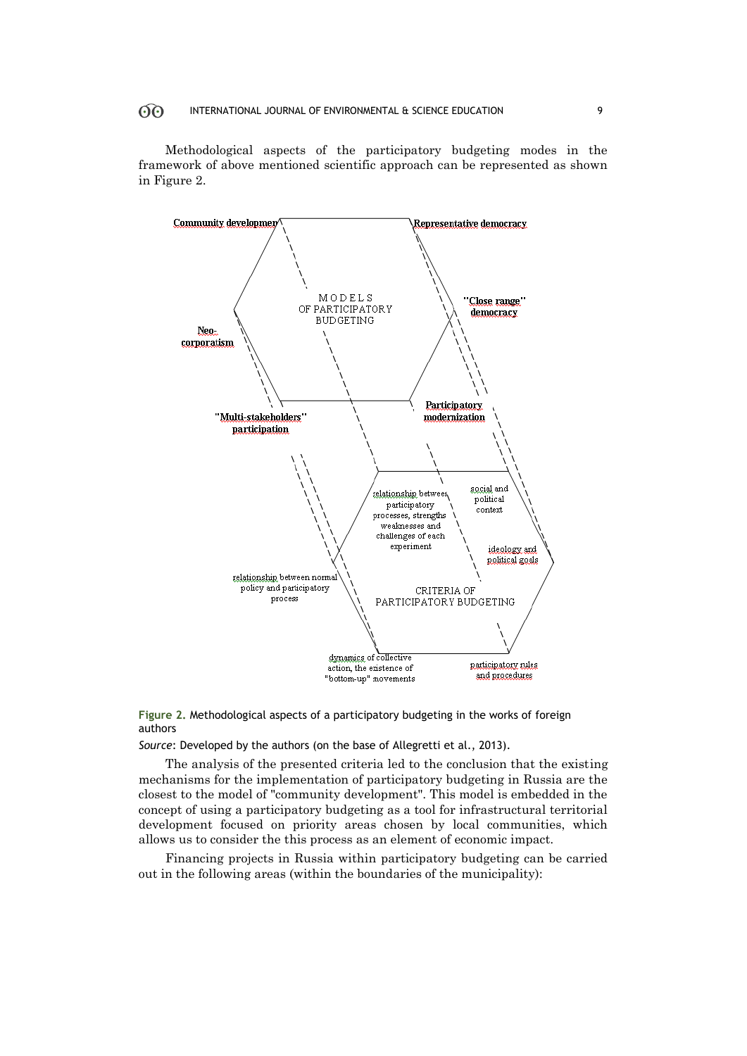### OO INTERNATIONAL JOURNAL OF ENVIRONMENTAL & SCIENCE EDUCATION 9

Methodological aspects of the participatory budgeting modes in the framework of above mentioned scientific approach can be represented as shown in Figure 2.





*Source*: Developed by the authors (on the base of Allegretti et al., 2013).

The analysis of the presented criteria led to the conclusion that the existing mechanisms for the implementation of participatory budgeting in Russia are the closest to the model of "community development". This model is embedded in the concept of using a participatory budgeting as a tool for infrastructural territorial development focused on priority areas chosen by local communities, which allows us to consider the this process as an element of economic impact.

Financing projects in Russia within participatory budgeting can be carried out in the following areas (within the boundaries of the municipality):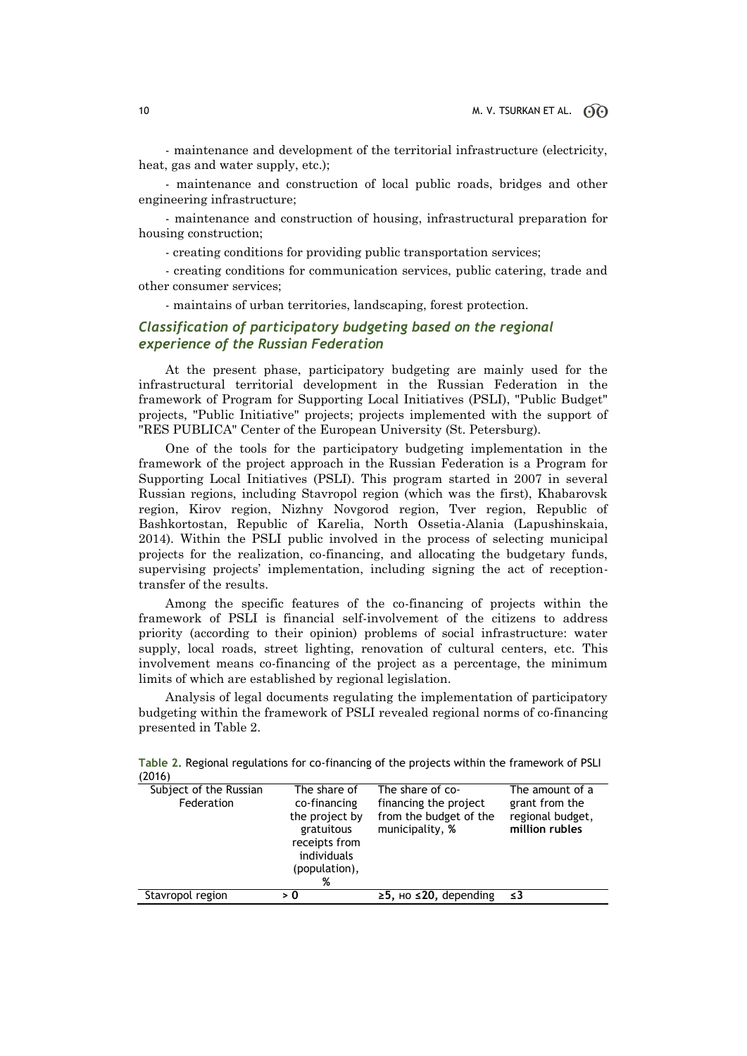- maintenance and development of the territorial infrastructure (electricity, heat, gas and water supply, etc.);

- maintenance and construction of local public roads, bridges and other engineering infrastructure;

- maintenance and construction of housing, infrastructural preparation for housing construction;

- creating conditions for providing public transportation services;

- creating conditions for communication services, public catering, trade and other consumer services;

- maintains of urban territories, landscaping, forest protection.

### *Classification of participatory budgeting based on the regional experience of the Russian Federation*

At the present phase, participatory budgeting are mainly used for the infrastructural territorial development in the Russian Federation in the framework of Program for Supporting Local Initiatives (PSLI), "Public Budget" projects, "Public Initiative" projects; projects implemented with the support of "RES PUBLICA" Center of the European University (St. Petersburg).

One of the tools for the participatory budgeting implementation in the framework of the project approach in the Russian Federation is a Program for Supporting Local Initiatives (PSLI). This program started in 2007 in several Russian regions, including Stavropol region (which was the first), Khabarovsk region, Kirov region, Nizhny Novgorod region, Tver region, Republic of Bashkortostan, Republic of Karelia, North Ossetia-Alania (Lapushinskaia, 2014). Within the PSLI public involved in the process of selecting municipal projects for the realization, co-financing, and allocating the budgetary funds, supervising projects' implementation, including signing the act of receptiontransfer of the results.

Among the specific features of the co-financing of projects within the framework of PSLI is financial self-involvement of the citizens to address priority (according to their opinion) problems of social infrastructure: water supply, local roads, street lighting, renovation of cultural centers, etc. This involvement means co-financing of the project as a percentage, the minimum limits of which are established by regional legislation.

Analysis of legal documents regulating the implementation of participatory budgeting within the framework of PSLI revealed regional norms of co-financing presented in Table 2.

| Subject of the Russian<br>The share of<br>The share of co-<br>The amount of a<br>Federation<br>grant from the<br>financing the project<br>co-financing<br>from the budget of the<br>regional budget,<br>the project by<br>million rubles<br>municipality, %<br>gratuitous<br>receipts from |  |
|--------------------------------------------------------------------------------------------------------------------------------------------------------------------------------------------------------------------------------------------------------------------------------------------|--|
| individuals<br>(population),<br>%                                                                                                                                                                                                                                                          |  |
| Stavropol region<br>$\ge$ 5, $\mu$ o $\le$ 20, depending<br>> 0<br>≤3                                                                                                                                                                                                                      |  |

**Table 2.** Regional regulations for co-financing of the projects within the framework of PSLI (2016)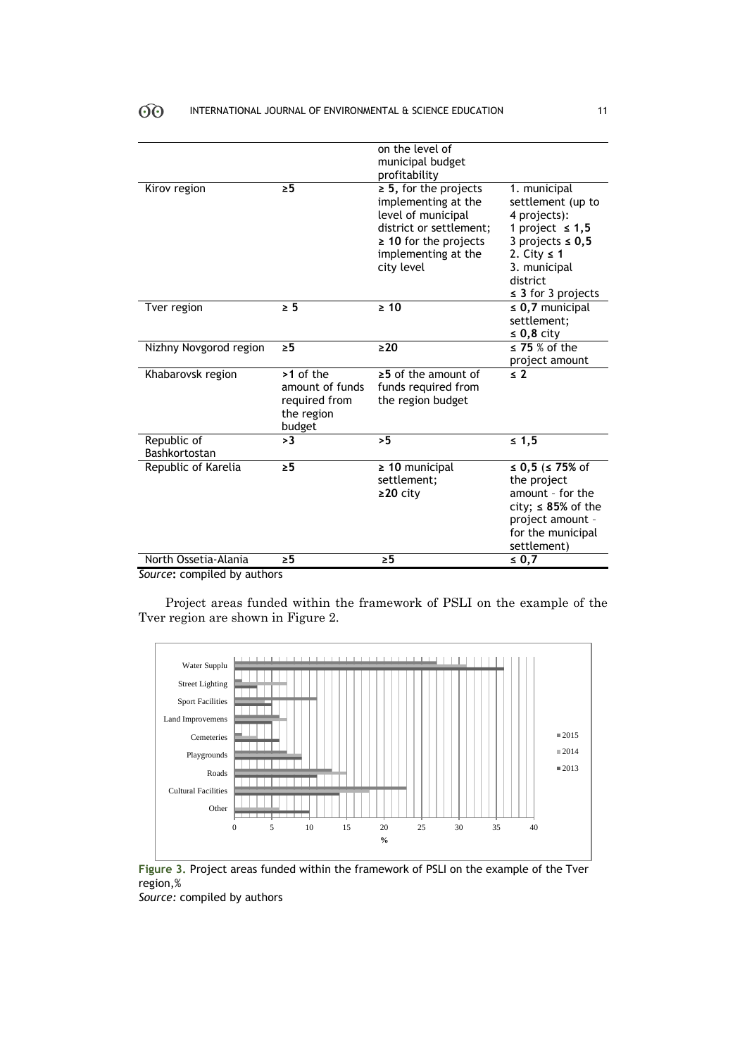|                              |                                                                         | on the level of<br>municipal budget<br>profitability                                                                                                                  |                                                                                                                                                                               |
|------------------------------|-------------------------------------------------------------------------|-----------------------------------------------------------------------------------------------------------------------------------------------------------------------|-------------------------------------------------------------------------------------------------------------------------------------------------------------------------------|
| Kirov region                 | $\geq 5$                                                                | $\geq$ 5, for the projects<br>implementing at the<br>level of municipal<br>district or settlement;<br>$\geq$ 10 for the projects<br>implementing at the<br>city level | 1. municipal<br>settlement (up to<br>4 projects):<br>1 project $\leq 1,5$<br>3 projects $\leq 0.5$<br>2. City $\leq$ 1<br>3. municipal<br>district<br>$\leq$ 3 for 3 projects |
| Tver region                  | $\geq 5$                                                                | $\geq 10$                                                                                                                                                             | $\leq$ 0,7 municipal<br>settlement:<br>$\leq 0,8$ city                                                                                                                        |
| Nizhny Novgorod region       | $\geq 5$                                                                | $\geq 20$                                                                                                                                                             | $\leq$ 75 % of the<br>project amount                                                                                                                                          |
| Khabarovsk region            | $>1$ of the<br>amount of funds<br>required from<br>the region<br>budget | $\geq$ 5 of the amount of<br>funds required from<br>the region budget                                                                                                 | $\leq 2$                                                                                                                                                                      |
| Republic of<br>Bashkortostan | >3                                                                      | >5                                                                                                                                                                    | $\leq 1,5$                                                                                                                                                                    |
| Republic of Karelia          | $\geq 5$                                                                | $\geq 10$ municipal<br>settlement:<br>$\geq$ 20 city                                                                                                                  | ≤ 0,5 (≤ 75% of<br>the project<br>amount - for the<br>city; $\leq$ 85% of the<br>project amount -<br>for the municipal<br>settlement)                                         |
| North Ossetia-Alania         | $\geq 5$                                                                | $\geq 5$                                                                                                                                                              | ≤ 0,7                                                                                                                                                                         |

*Source***:** compiled by authors

Project areas funded within the framework of PSLI on the example of the Tver region are shown in Figure 2.



**Figure 3.** Project areas funded within the framework of PSLI on the example of the Tver region,%

*Source:* compiled by authors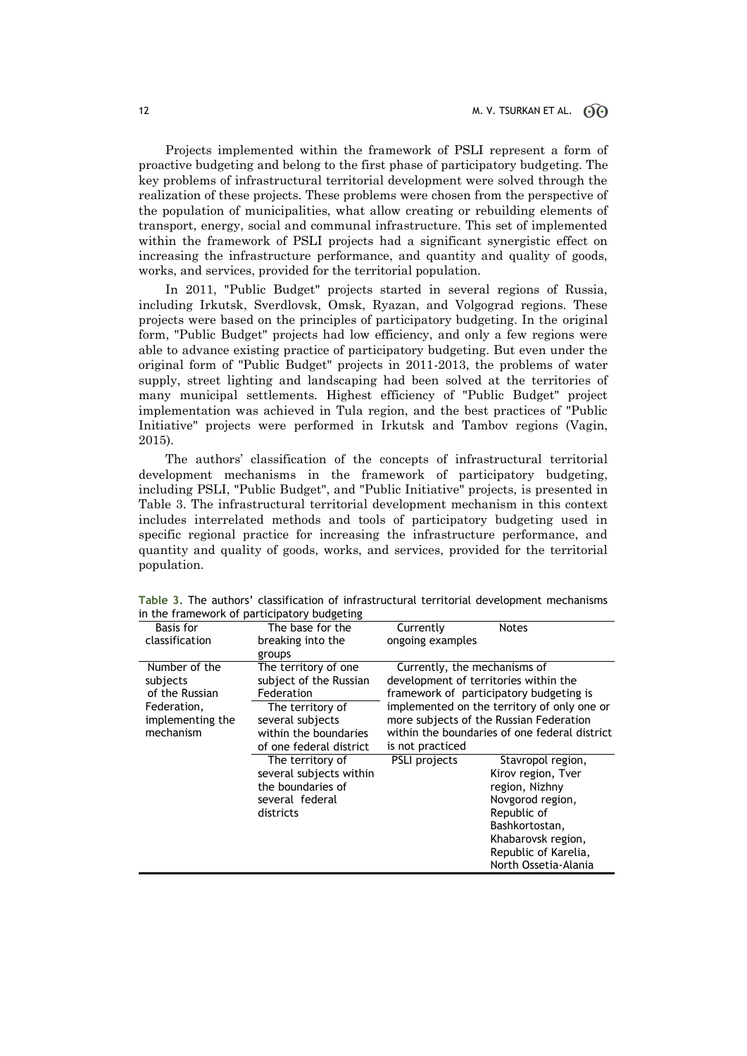Projects implemented within the framework of PSLI represent a form of proactive budgeting and belong to the first phase of participatory budgeting. The key problems of infrastructural territorial development were solved through the realization of these projects. These problems were chosen from the perspective of the population of municipalities, what allow creating or rebuilding elements of transport, energy, social and communal infrastructure. This set of implemented within the framework of PSLI projects had a significant synergistic effect on increasing the infrastructure performance, and quantity and quality of goods, works, and services, provided for the territorial population.

In 2011, "Public Budget" projects started in several regions of Russia, including Irkutsk, Sverdlovsk, Omsk, Ryazan, and Volgograd regions. These projects were based on the principles of participatory budgeting. In the original form, "Public Budget" projects had low efficiency, and only a few regions were able to advance existing practice of participatory budgeting. But even under the original form of "Public Budget" projects in 2011-2013, the problems of water supply, street lighting and landscaping had been solved at the territories of many municipal settlements. Highest efficiency of "Public Budget" project implementation was achieved in Tula region, and the best practices of "Public Initiative" projects were performed in Irkutsk and Tambov regions (Vagin, 2015).

The authors' classification of the concepts of infrastructural territorial development mechanisms in the framework of participatory budgeting, including PSLI, "Public Budget", and "Public Initiative" projects, is presented in Table 3. The infrastructural territorial development mechanism in this context includes interrelated methods and tools of participatory budgeting used in specific regional practice for increasing the infrastructure performance, and quantity and quality of goods, works, and services, provided for the territorial population.

| $\mathbf{m}$ and the matric morn of participatory badgeting |                         |                                             |                                               |
|-------------------------------------------------------------|-------------------------|---------------------------------------------|-----------------------------------------------|
| Basis for                                                   | The base for the        | Currently                                   | <b>Notes</b>                                  |
| classification                                              | breaking into the       | ongoing examples                            |                                               |
|                                                             | groups                  |                                             |                                               |
| Number of the                                               | The territory of one    | Currently, the mechanisms of                |                                               |
| subjects                                                    | subject of the Russian  |                                             | development of territories within the         |
| of the Russian                                              | Federation              | framework of participatory budgeting is     |                                               |
| Federation,                                                 | The territory of        | implemented on the territory of only one or |                                               |
| implementing the                                            | several subjects        | more subjects of the Russian Federation     |                                               |
| mechanism                                                   | within the boundaries   |                                             | within the boundaries of one federal district |
|                                                             | of one federal district | is not practiced                            |                                               |
|                                                             | The territory of        | PSLI projects                               | Stavropol region,                             |
|                                                             | several subjects within |                                             | Kirov region, Tver                            |
|                                                             | the boundaries of       |                                             | region, Nizhny                                |
|                                                             | several federal         |                                             | Novgorod region,                              |
|                                                             | districts               |                                             | Republic of                                   |
|                                                             |                         |                                             | Bashkortostan,                                |
|                                                             |                         |                                             | Khabarovsk region,                            |
|                                                             |                         |                                             | Republic of Karelia,                          |
|                                                             |                         |                                             | North Ossetia-Alania                          |

**Table 3.** The authors' classification of infrastructural territorial development mechanisms in the framework of participatory budgeting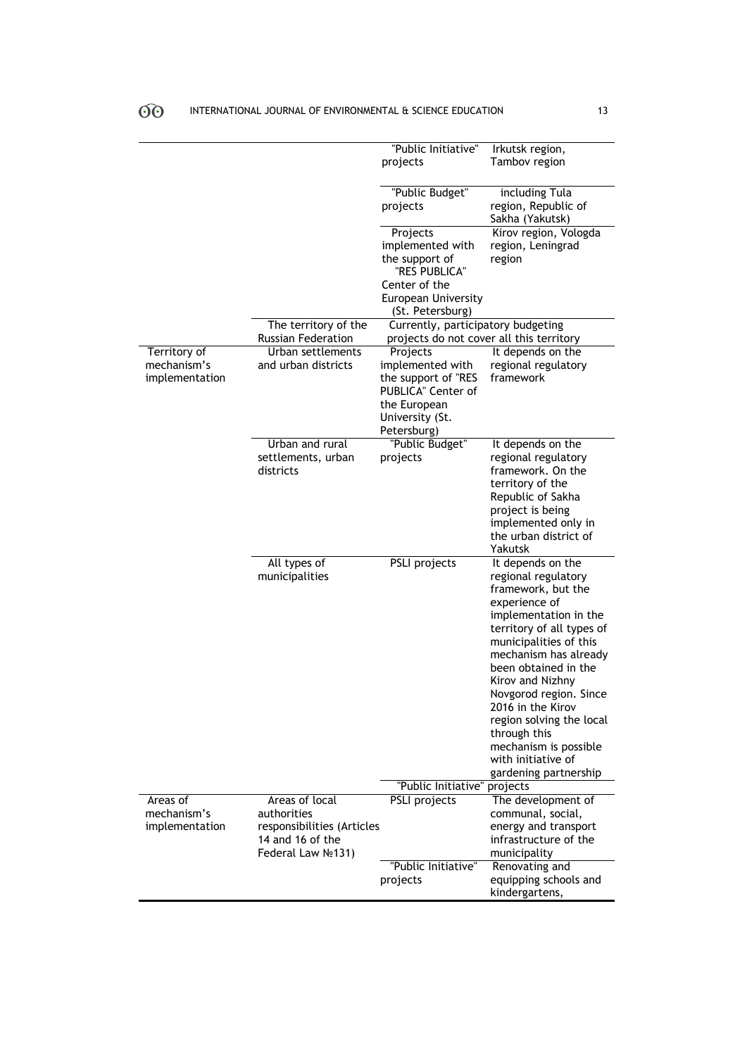|                                               |                                                                                                        | "Public Initiative"<br>projects                                                                                             | Irkutsk region,<br>Tambov region                                                                                                                                                                                                                                                                                                                                                                        |
|-----------------------------------------------|--------------------------------------------------------------------------------------------------------|-----------------------------------------------------------------------------------------------------------------------------|---------------------------------------------------------------------------------------------------------------------------------------------------------------------------------------------------------------------------------------------------------------------------------------------------------------------------------------------------------------------------------------------------------|
|                                               |                                                                                                        | "Public Budget"<br>projects                                                                                                 | including Tula<br>region, Republic of<br>Sakha (Yakutsk)                                                                                                                                                                                                                                                                                                                                                |
|                                               |                                                                                                        | Projects<br>implemented with<br>the support of<br>"RES PUBLICA"<br>Center of the                                            | Kirov region, Vologda<br>region, Leningrad<br>region                                                                                                                                                                                                                                                                                                                                                    |
|                                               |                                                                                                        | European University<br>(St. Petersburg)                                                                                     |                                                                                                                                                                                                                                                                                                                                                                                                         |
|                                               | The territory of the<br>Russian Federation                                                             | Currently, participatory budgeting<br>projects do not cover all this territory                                              |                                                                                                                                                                                                                                                                                                                                                                                                         |
| Territory of<br>mechanism's<br>implementation | Urban settlements<br>and urban districts                                                               | Projects<br>implemented with<br>the support of "RES<br>PUBLICA" Center of<br>the European<br>University (St.<br>Petersburg) | It depends on the<br>regional regulatory<br>framework                                                                                                                                                                                                                                                                                                                                                   |
|                                               | Urban and rural<br>settlements, urban<br>districts                                                     | "Public Budget"<br>projects                                                                                                 | It depends on the<br>regional regulatory<br>framework. On the<br>territory of the<br>Republic of Sakha<br>project is being<br>implemented only in<br>the urban district of<br>Yakutsk                                                                                                                                                                                                                   |
|                                               | All types of<br>municipalities                                                                         | PSLI projects                                                                                                               | It depends on the<br>regional regulatory<br>framework, but the<br>experience of<br>implementation in the<br>territory of all types of<br>municipalities of this<br>mechanism has already<br>been obtained in the<br>Kirov and Nizhny<br>Novgorod region. Since<br>2016 in the Kirov<br>region solving the local<br>through this<br>mechanism is possible<br>with initiative of<br>gardening partnership |
|                                               |                                                                                                        | "Public Initiative" projects                                                                                                |                                                                                                                                                                                                                                                                                                                                                                                                         |
| Areas of<br>mechanism's<br>implementation     | Areas of local<br>authorities<br>responsibilities (Articles<br>14 and 16 of the<br>Federal Law No 131) | PSLI projects                                                                                                               | The development of<br>communal, social,<br>energy and transport<br>infrastructure of the<br>municipality                                                                                                                                                                                                                                                                                                |
|                                               |                                                                                                        | "Public Initiative"<br>projects                                                                                             | Renovating and<br>equipping schools and<br>kindergartens,                                                                                                                                                                                                                                                                                                                                               |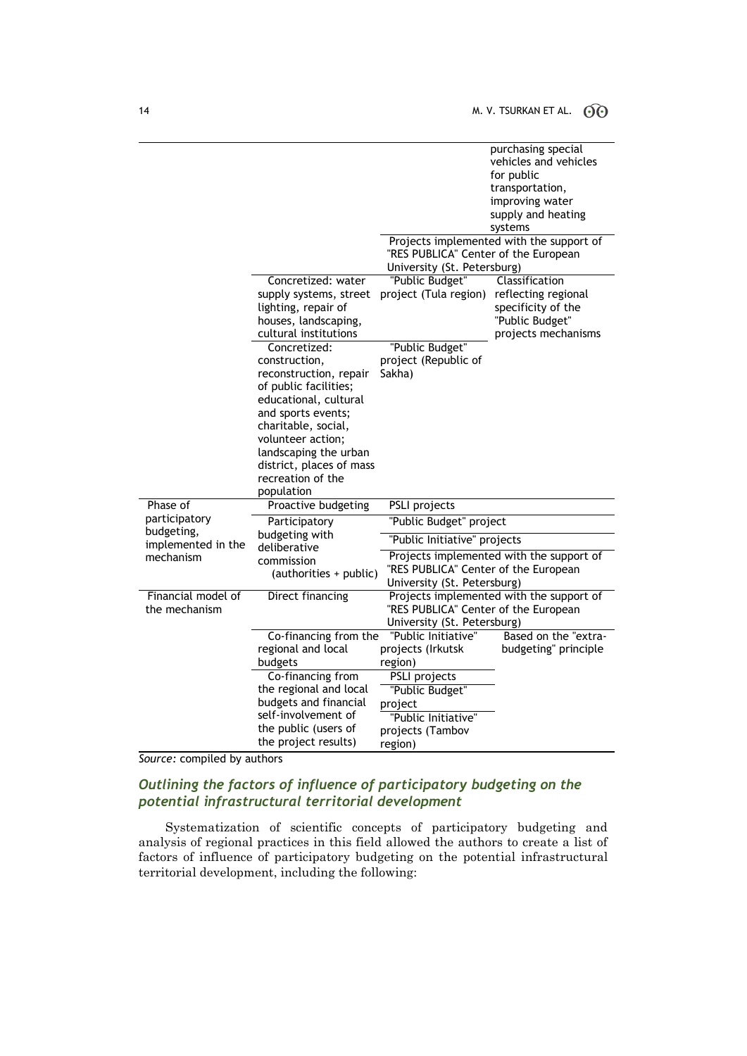|                                  |                          |                                                                     | purchasing special                       |
|----------------------------------|--------------------------|---------------------------------------------------------------------|------------------------------------------|
|                                  |                          |                                                                     | vehicles and vehicles                    |
|                                  |                          |                                                                     | for public                               |
|                                  |                          |                                                                     | transportation,                          |
|                                  |                          |                                                                     | improving water                          |
|                                  |                          |                                                                     | supply and heating                       |
|                                  |                          |                                                                     | systems                                  |
|                                  |                          | "RES PUBLICA" Center of the European<br>University (St. Petersburg) | Projects implemented with the support of |
|                                  | Concretized: water       | "Public Budget"                                                     | Classification                           |
|                                  | supply systems, street   | project (Tula region)                                               | reflecting regional                      |
|                                  | lighting, repair of      |                                                                     | specificity of the                       |
|                                  | houses, landscaping,     |                                                                     | "Public Budget"                          |
|                                  | cultural institutions    |                                                                     | projects mechanisms                      |
|                                  | Concretized:             | "Public Budget"                                                     |                                          |
|                                  | construction,            | project (Republic of                                                |                                          |
|                                  | reconstruction, repair   | Sakha)                                                              |                                          |
|                                  | of public facilities;    |                                                                     |                                          |
|                                  | educational, cultural    |                                                                     |                                          |
|                                  | and sports events;       |                                                                     |                                          |
|                                  | charitable, social,      |                                                                     |                                          |
|                                  | volunteer action;        |                                                                     |                                          |
|                                  | landscaping the urban    |                                                                     |                                          |
|                                  | district, places of mass |                                                                     |                                          |
|                                  | recreation of the        |                                                                     |                                          |
|                                  | population               |                                                                     |                                          |
| Phase of                         | Proactive budgeting      | PSLI projects                                                       |                                          |
| participatory                    | Participatory            | "Public Budget" project                                             |                                          |
| budgeting,<br>implemented in the | budgeting with           | "Public Initiative" projects                                        |                                          |
| mechanism                        | deliberative             |                                                                     | Projects implemented with the support of |
|                                  | commission               | "RES PUBLICA" Center of the European                                |                                          |
|                                  | (authorities + public)   | University (St. Petersburg)                                         |                                          |
| Financial model of               | Direct financing         |                                                                     | Projects implemented with the support of |
| the mechanism                    |                          | "RES PUBLICA" Center of the European                                |                                          |
|                                  |                          | University (St. Petersburg)                                         |                                          |
|                                  | Co-financing from the    | "Public Initiative"                                                 | Based on the "extra-                     |
|                                  | regional and local       | projects (Irkutsk                                                   | budgeting" principle                     |
|                                  | budgets                  | region)                                                             |                                          |
|                                  | Co-financing from        | PSLI projects                                                       |                                          |
|                                  | the regional and local   | "Public Budget"                                                     |                                          |
|                                  | budgets and financial    |                                                                     |                                          |
|                                  | self-involvement of      | project                                                             |                                          |
|                                  | the public (users of     | "Public Initiative"                                                 |                                          |
|                                  |                          | projects (Tambov                                                    |                                          |
|                                  | the project results)     | region)                                                             |                                          |

*Source:* compiled by authors

## *Outlining the factors of influence of participatory budgeting on the potential infrastructural territorial development*

Systematization of scientific concepts of participatory budgeting and analysis of regional practices in this field allowed the authors to create a list of factors of influence of participatory budgeting on the potential infrastructural territorial development, including the following: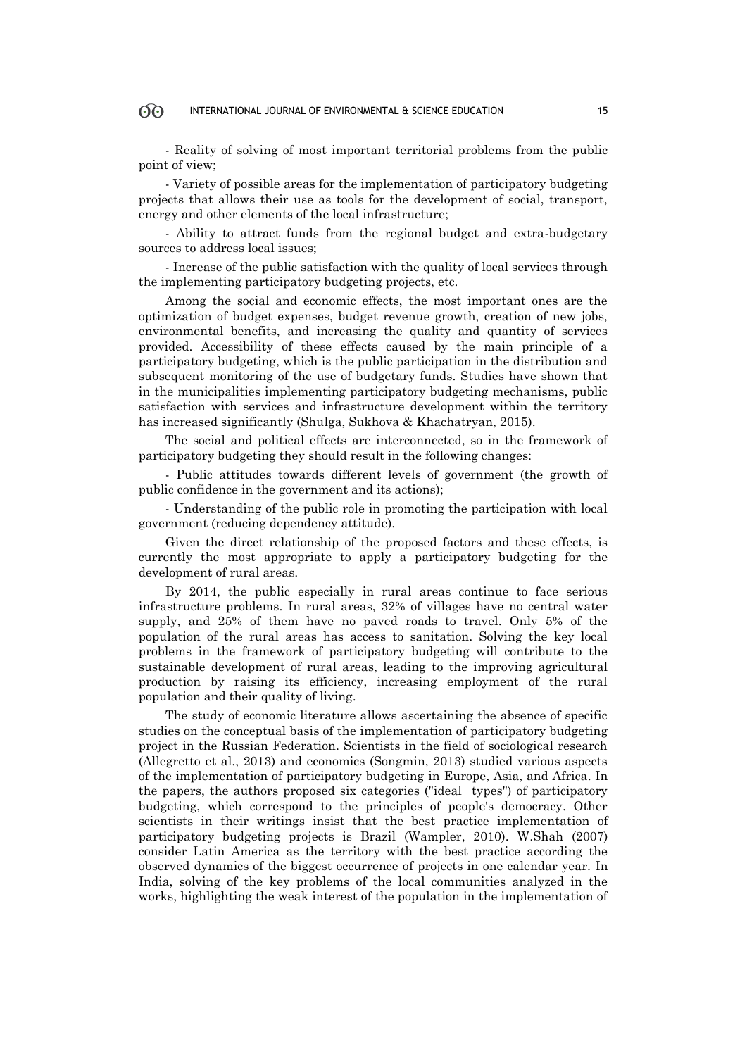### INTERNATIONAL JOURNAL OF ENVIRONMENTAL & SCIENCE EDUCATION 15

- Reality of solving of most important territorial problems from the public point of view;

- Variety of possible areas for the implementation of participatory budgeting projects that allows their use as tools for the development of social, transport, energy and other elements of the local infrastructure;

- Ability to attract funds from the regional budget and extra-budgetary sources to address local issues;

- Increase of the public satisfaction with the quality of local services through the implementing participatory budgeting projects, etc.

Among the social and economic effects, the most important ones are the optimization of budget expenses, budget revenue growth, creation of new jobs, environmental benefits, and increasing the quality and quantity of services provided. Accessibility of these effects caused by the main principle of a participatory budgeting, which is the public participation in the distribution and subsequent monitoring of the use of budgetary funds. Studies have shown that in the municipalities implementing participatory budgeting mechanisms, public satisfaction with services and infrastructure development within the territory has increased significantly (Shulga, Sukhova & Khachatryan, 2015).

The social and political effects are interconnected, so in the framework of participatory budgeting they should result in the following changes:

- Public attitudes towards different levels of government (the growth of public confidence in the government and its actions);

- Understanding of the public role in promoting the participation with local government (reducing dependency attitude).

Given the direct relationship of the proposed factors and these effects, is currently the most appropriate to apply a participatory budgeting for the development of rural areas.

By 2014, the public especially in rural areas continue to face serious infrastructure problems. In rural areas, 32% of villages have no central water supply, and 25% of them have no paved roads to travel. Only 5% of the population of the rural areas has access to sanitation. Solving the key local problems in the framework of participatory budgeting will contribute to the sustainable development of rural areas, leading to the improving agricultural production by raising its efficiency, increasing employment of the rural population and their quality of living.

The study of economic literature allows ascertaining the absence of specific studies on the conceptual basis of the implementation of participatory budgeting project in the Russian Federation. Scientists in the field of sociological research (Allegretto et al., 2013) and economics (Songmin, 2013) studied various aspects of the implementation of participatory budgeting in Europe, Asia, and Africa. In the papers, the authors proposed six categories ("ideal types") of participatory budgeting, which correspond to the principles of people's democracy. Other scientists in their writings insist that the best practice implementation of participatory budgeting projects is Brazil (Wampler, 2010). W.Shah (2007) consider Latin America as the territory with the best practice according the observed dynamics of the biggest occurrence of projects in one calendar year. In India, solving of the key problems of the local communities analyzed in the works, highlighting the weak interest of the population in the implementation of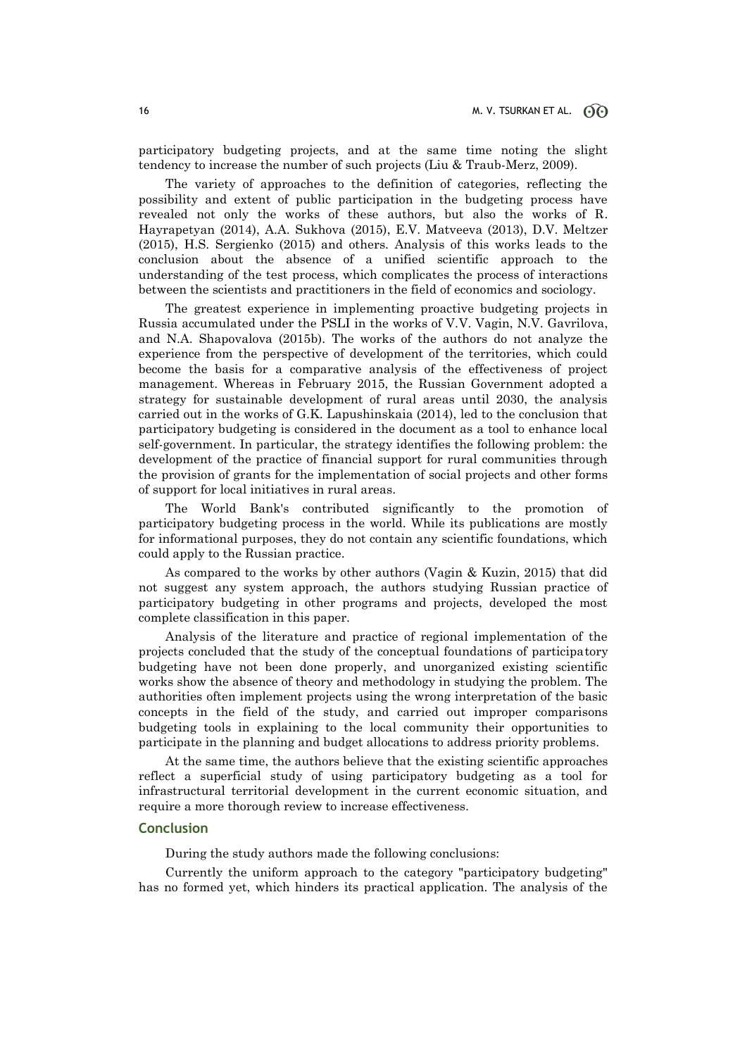participatory budgeting projects, and at the same time noting the slight tendency to increase the number of such projects (Liu & Traub-Merz, 2009).

The variety of approaches to the definition of categories, reflecting the possibility and extent of public participation in the budgeting process have revealed not only the works of these authors, but also the works of R. Hayrapetyan (2014), A.A. Sukhova (2015), E.V. Matveeva (2013), D.V. Meltzer (2015), H.S. Sergienko (2015) and others. Analysis of this works leads to the conclusion about the absence of a unified scientific approach to the understanding of the test process, which complicates the process of interactions between the scientists and practitioners in the field of economics and sociology.

The greatest experience in implementing proactive budgeting projects in Russia accumulated under the PSLI in the works of V.V. Vagin, N.V. Gavrilova, and N.A. Shapovalova (2015b). The works of the authors do not analyze the experience from the perspective of development of the territories, which could become the basis for a comparative analysis of the effectiveness of project management. Whereas in February 2015, the Russian Government adopted a strategy for sustainable development of rural areas until 2030, the analysis carried out in the works of G.K. Lapushinskaia (2014), led to the conclusion that participatory budgeting is considered in the document as a tool to enhance local self-government. In particular, the strategy identifies the following problem: the development of the practice of financial support for rural communities through the provision of grants for the implementation of social projects and other forms of support for local initiatives in rural areas.

The World Bank's contributed significantly to the promotion of participatory budgeting process in the world. While its publications are mostly for informational purposes, they do not contain any scientific foundations, which could apply to the Russian practice.

As compared to the works by other authors (Vagin & Kuzin, 2015) that did not suggest any system approach, the authors studying Russian practice of participatory budgeting in other programs and projects, developed the most complete classification in this paper.

Analysis of the literature and practice of regional implementation of the projects concluded that the study of the conceptual foundations of participatory budgeting have not been done properly, and unorganized existing scientific works show the absence of theory and methodology in studying the problem. The authorities often implement projects using the wrong interpretation of the basic concepts in the field of the study, and carried out improper comparisons budgeting tools in explaining to the local community their opportunities to participate in the planning and budget allocations to address priority problems.

At the same time, the authors believe that the existing scientific approaches reflect a superficial study of using participatory budgeting as a tool for infrastructural territorial development in the current economic situation, and require a more thorough review to increase effectiveness.

### **Conclusion**

During the study authors made the following conclusions:

Currently the uniform approach to the category "participatory budgeting" has no formed yet, which hinders its practical application. The analysis of the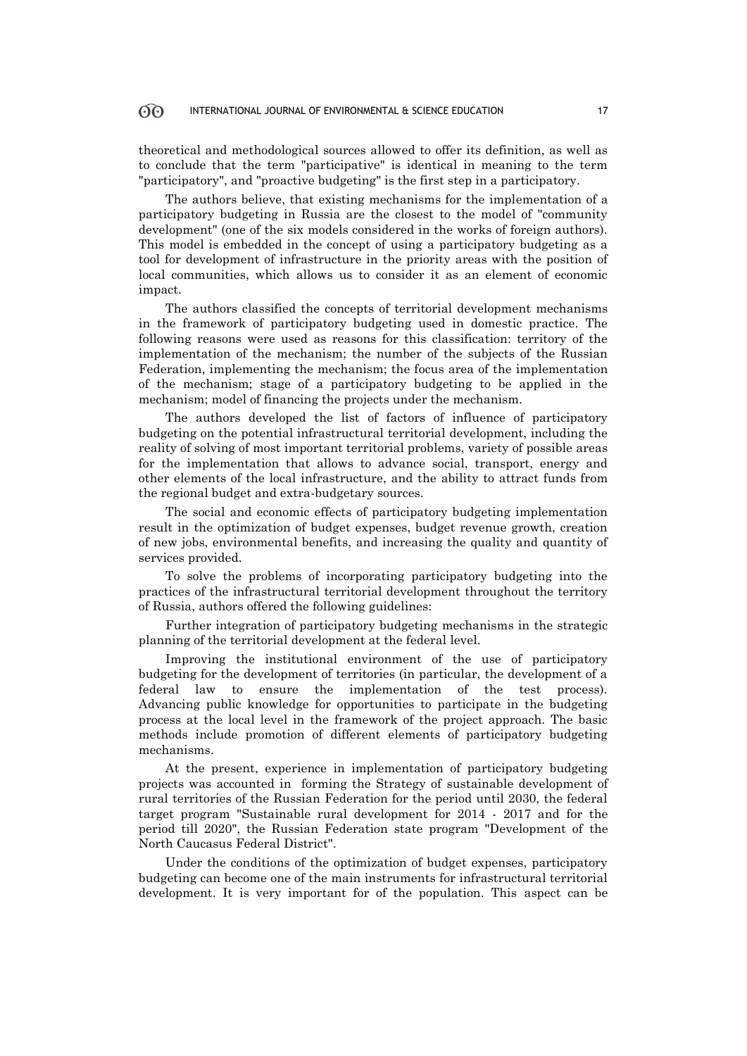### INTERNATIONAL JOURNAL OF ENVIRONMENTAL & SCIENCE EDUCATION 17

theoretical and methodological sources allowed to offer its definition, as well as to conclude that the term "participative" is identical in meaning to the term "participatory", and "proactive budgeting" is the first step in a participatory.

The authors believe, that existing mechanisms for the implementation of a participatory budgeting in Russia are the closest to the model of "community development" (one of the six models considered in the works of foreign authors). This model is embedded in the concept of using a participatory budgeting as a tool for development of infrastructure in the priority areas with the position of local communities, which allows us to consider it as an element of economic impact.

The authors classified the concepts of territorial development mechanisms in the framework of participatory budgeting used in domestic practice. The following reasons were used as reasons for this classification: territory of the implementation of the mechanism; the number of the subjects of the Russian Federation, implementing the mechanism; the focus area of the implementation of the mechanism; stage of a participatory budgeting to be applied in the mechanism; model of financing the projects under the mechanism.

The authors developed the list of factors of influence of participatory budgeting on the potential infrastructural territorial development, including the reality of solving of most important territorial problems, variety of possible areas for the implementation that allows to advance social, transport, energy and other elements of the local infrastructure, and the ability to attract funds from the regional budget and extra-budgetary sources.

The social and economic effects of participatory budgeting implementation result in the optimization of budget expenses, budget revenue growth, creation of new jobs, environmental benefits, and increasing the quality and quantity of services provided.

To solve the problems of incorporating participatory budgeting into the practices of the infrastructural territorial development throughout the territory of Russia, authors offered the following guidelines:

Further integration of participatory budgeting mechanisms in the strategic planning of the territorial development at the federal level.

Improving the institutional environment of the use of participatory budgeting for the development of territories (in particular, the development of a federal law to ensure the implementation of the test process). Advancing public knowledge for opportunities to participate in the budgeting process at the local level in the framework of the project approach. The basic methods include promotion of different elements of participatory budgeting mechanisms.

At the present, experience in implementation of participatory budgeting projects was accounted in forming the Strategy of sustainable development of rural territories of the Russian Federation for the period until 2030, the federal target program "Sustainable rural development for 2014 - 2017 and for the period till 2020", the Russian Federation state program "Development of the North Caucasus Federal District".

Under the conditions of the optimization of budget expenses, participatory budgeting can become one of the main instruments for infrastructural territorial development. It is very important for of the population. This aspect can be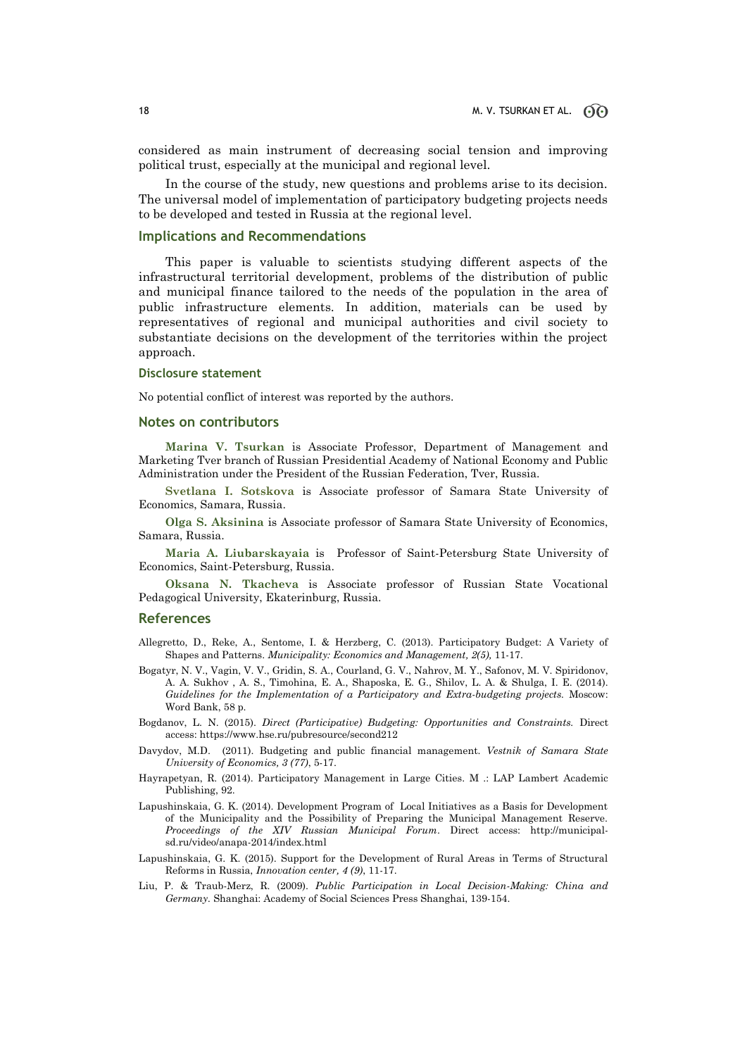considered as main instrument of decreasing social tension and improving political trust, especially at the municipal and regional level.

In the course of the study, new questions and problems arise to its decision. The universal model of implementation of participatory budgeting projects needs to be developed and tested in Russia at the regional level.

#### **Implications and Recommendations**

This paper is valuable to scientists studying different aspects of the infrastructural territorial development, problems of the distribution of public and municipal finance tailored to the needs of the population in the area of public infrastructure elements. In addition, materials can be used by representatives of regional and municipal authorities and civil society to substantiate decisions on the development of the territories within the project approach.

#### **Disclosure statement**

No potential conflict of interest was reported by the authors.

#### **Notes on contributors**

**Marina V. Tsurkan** is Associate Professor, Department of Management and Marketing Tver branch of Russian Presidential Academy of National Economy and Public Administration under the President of the Russian Federation, Tver, Russia.

**Svetlana I. Sotskova** is Associate professor of Samara State University of Economics, Samara, Russia.

**Olga S. Aksinina** is Associate professor of Samara State University of Economics, Samara, Russia.

**Maria A. Liubarskayaia** is Professor of Saint-Petersburg State University of Economics, Saint-Petersburg, Russia.

**Oksana N. Tkacheva** is Associate professor of Russian State Vocational Pedagogical University, Ekaterinburg, Russia.

#### **References**

- Allegretto, D., Reke, A., Sentome, I. & Herzberg, C. (2013). Participatory Budget: A Variety of Shapes and Patterns. *Municipality: Economics and Management, 2(5),* 11-17.
- Bogatyr, N. V., Vagin, V. V., Gridin, S. A., Courland, G. V., Nahrov, M. Y., Safonov, M. V. Spiridonov, A. A. Sukhov , A. S., Timohina, E. A., Shaposka, E. G., Shilov, L. A. & Shulga, I. E. (2014). *Guidelines for the Implementation of a Participatory and Extra-budgeting projects.* Moscow: Word Bank, 58 p.
- Bogdanov, L. N. (2015). *Direct (Participative) Budgeting: Opportunities and Constraints.* Direct access[: https://www.hse.ru/pubresource/second212](https://www.hse.ru/pubresource/second212)
- Davydov, M.D. (2011). Budgeting and public financial management. *Vestnik of Samara State University of Economics, 3 (77)*, 5-17.
- Hayrapetyan, R. (2014). Participatory Management in Large Cities. M .: LAP Lambert Academic Publishing, 92.
- Lapushinskaia, G. K. (2014). Development Program of Local Initiatives as a Basis for Development of the Municipality and the Possibility of Preparing the Municipal Management Reserve. *Proceedings of the XIV Russian Municipal Forum*. Direct access: http://municipalsd.ru/video/anapa-2014/index.html
- Lapushinskaia, G. K. (2015). Support for the Development of Rural Areas in Terms of Structural Reforms in Russia, *Innovation center, 4 (9)*, 11-17.
- Liu, P. & Traub-Merz, R. (2009). *Public Participation in Local Decision-Making: China and Germany.* Shanghai: Academy of Social Sciences Press Shanghai, 139-154.